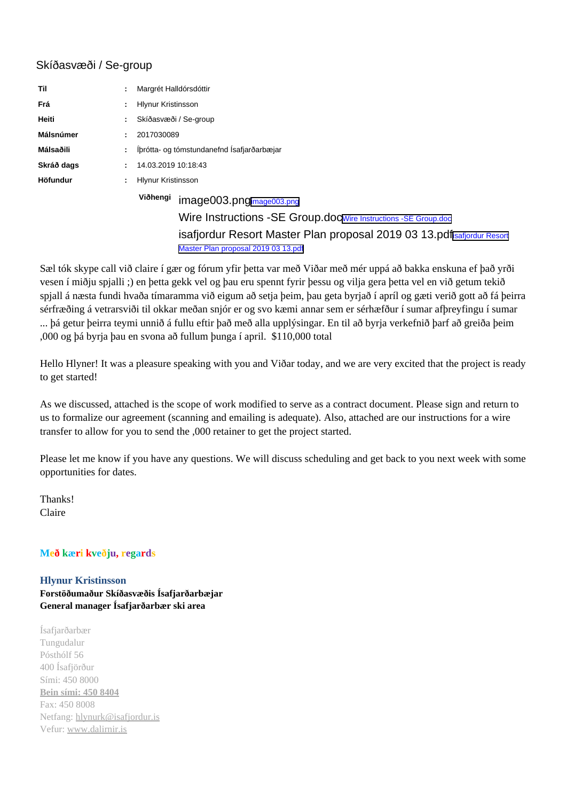## Skíðasvæði / Se-group

| Til        | Margrét Halldórsdóttir                                                                                         |
|------------|----------------------------------------------------------------------------------------------------------------|
| Frá        | <b>Hlynur Kristinsson</b>                                                                                      |
| Heiti      | Skíðasvæði / Se-group                                                                                          |
| Málsnúmer  | 2017030089                                                                                                     |
| Málsaðili  | Íbrótta- og tómstundanefnd Ísafjarðarbæjar                                                                     |
| Skráð dags | 14.03.2019 10:18:43                                                                                            |
| Höfundur   | <b>Hlynur Kristinsson</b>                                                                                      |
|            | Viðhengi<br>image003.pngimage003.png                                                                           |
|            | Wire Instructions - SE Group.docWire Instructions - SE Group.doc                                               |
|            | isafjordur Resort Master Plan proposal 2019 03 13. pdfisafjordur Resort<br>Master Plan proposal 2019 03 13.pdf |

Sæl tók skype call við claire í gær og fórum yfir þetta var með Viðar með mér uppá að bakka enskuna ef það yrði vesen í miðju spjalli ;) en þetta gekk vel og þau eru spennt fyrir þessu og vilja gera þetta vel en við getum tekið spjall á næsta fundi hvaða tímaramma við eigum að setja þeim, þau geta byrjað í apríl og gæti verið gott að fá þeirra sérfræðing á vetrarsviði til okkar meðan snjór er og svo kæmi annar sem er sérhæfður í sumar afþreyfingu í sumar ... þá getur þeirra teymi unnið á fullu eftir það með alla upplýsingar. En til að byrja verkefnið þarf að greiða þeim ,000 og þá byrja þau en svona að fullum þunga í april. \$110,000 total

Hello Hlyner! It was a pleasure speaking with you and Viðar today, and we are very excited that the project is ready to get started!

As we discussed, attached is the scope of work modified to serve as a contract document. Please sign and return to us to formalize our agreement (scanning and emailing is adequate). Also, attached are our instructions for a wire transfer to allow for you to send the ,000 retainer to get the project started.

Please let me know if you have any questions. We will discuss scheduling and get back to you next week with some opportunities for dates.

Thanks! Claire

## **Með kæri kveðju, regards**

## **Hlynur Kristinsson Forstöðumaður Skíðasvæðis Ísafjarðarbæjar General manager Ísafjarðarbær ski area**

Ísafjarðarbær Tungudalur Pósthólf 56 400 Ísafjörður Sími: 450 8000 **Bein sími: 450 8404** Fax: 450 8008 Netfang: [hlynurk@isafjordur.is](mailto:hlynurk@isafjordur.is) Vefur: [www.dalirnir.is](http://www.dalirnir.is/)